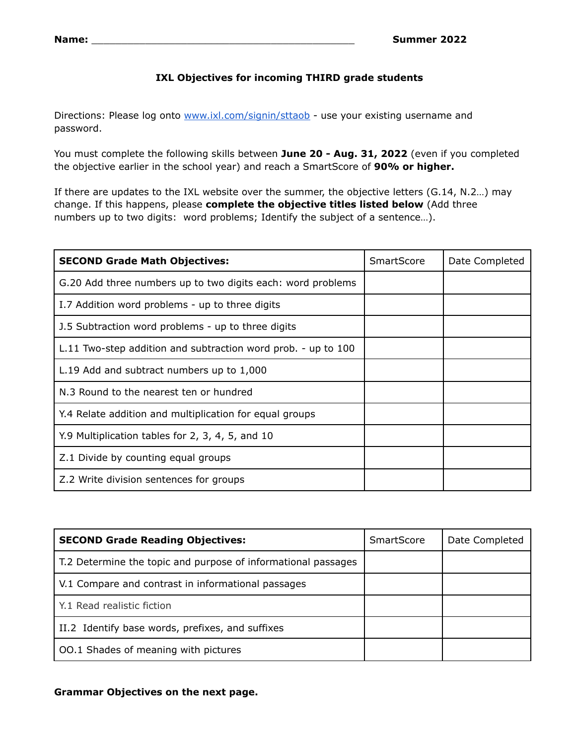## **IXL Objectives for incoming THIRD grade students**

Directions: Please log onto [www.ixl.com/signin/sttaob](http://www.ixl.com/signin/sttaob) - use your existing username and password.

You must complete the following skills between **June 20 - Aug. 31, 2022** (even if you completed the objective earlier in the school year) and reach a SmartScore of **90% or higher.**

If there are updates to the IXL website over the summer, the objective letters (G.14, N.2…) may change. If this happens, please **complete the objective titles listed below** (Add three numbers up to two digits: word problems; Identify the subject of a sentence…).

| <b>SECOND Grade Math Objectives:</b>                          | SmartScore | Date Completed |
|---------------------------------------------------------------|------------|----------------|
| G.20 Add three numbers up to two digits each: word problems   |            |                |
| I.7 Addition word problems - up to three digits               |            |                |
| J.5 Subtraction word problems - up to three digits            |            |                |
| L.11 Two-step addition and subtraction word prob. - up to 100 |            |                |
| L.19 Add and subtract numbers up to 1,000                     |            |                |
| N.3 Round to the nearest ten or hundred                       |            |                |
| Y.4 Relate addition and multiplication for equal groups       |            |                |
| Y.9 Multiplication tables for 2, 3, 4, 5, and 10              |            |                |
| Z.1 Divide by counting equal groups                           |            |                |
| Z.2 Write division sentences for groups                       |            |                |

| <b>SECOND Grade Reading Objectives:</b>                       | <b>SmartScore</b> | Date Completed |
|---------------------------------------------------------------|-------------------|----------------|
| T.2 Determine the topic and purpose of informational passages |                   |                |
| V.1 Compare and contrast in informational passages            |                   |                |
| Y.1 Read realistic fiction                                    |                   |                |
| II.2 Identify base words, prefixes, and suffixes              |                   |                |
| OO.1 Shades of meaning with pictures                          |                   |                |

## **Grammar Objectives on the next page.**